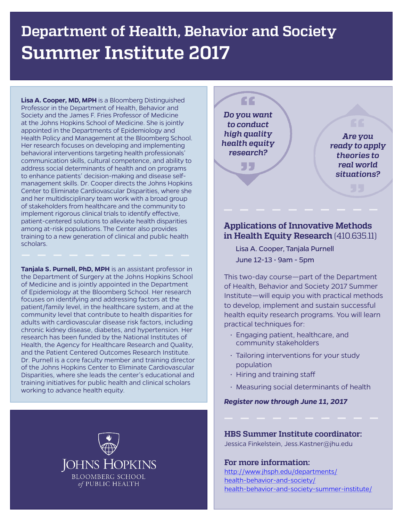# **Department of Health, Behavior and Society Summer Institute 2017**

**Lisa A. Cooper, MD, MPH** is a Bloomberg Distinguished Professor in the Department of Health, Behavior and Society and the James F. Fries Professor of Medicine at the Johns Hopkins School of Medicine. She is jointly appointed in the Departments of Epidemiology and Health Policy and Management at the Bloomberg School. Her research focuses on developing and implementing behavioral interventions targeting health professionals' communication skills, cultural competence, and ability to address social determinants of health and on programs to enhance patients' decision-making and disease selfmanagement skills. Dr. Cooper directs the Johns Hopkins Center to Eliminate Cardiovascular Disparities, where she and her multidisciplinary team work with a broad group of stakeholders from healthcare and the community to implement rigorous clinical trials to identify effective. patient-centered solutions to alleviate health disparities among at-risk populations. The Center also provides training to a new generation of clinical and public health scholars.

**Tanjala S. Purnell, PhD, MPH** is an assistant professor in the Department of Surgery at the Johns Hopkins School of Medicine and is jointly appointed in the Department of Epidemiology at the Bloomberg School. Her research focuses on identifying and addressing factors at the patient/family level, in the healthcare system, and at the community level that contribute to health disparities for adults with cardiovascular disease risk factors, including chronic kidney disease, diabetes, and hypertension. Her research has been funded by the National Institutes of Health, the Agency for Healthcare Research and Quality, and the Patient Centered Outcomes Research Institute. Dr. Purnell is a core faculty member and training director of the Johns Hopkins Center to Eliminate Cardiovascular Disparities, where she leads the center's educational and training initiatives for public health and clinical scholars working to advance health equity.



*Do you want to conduct high quality health equity research?*

55

££

*Are you ready to apply theories to real world situations?*

## **Applications of Innovative Methods in Health Equity Research** (410.635.11)

Lisa A. Cooper, Tanjala Purnell June  $12-13 \cdot 9$ am - 5pm

This two-day course—part of the Department of Health, Behavior and Society 2017 Summer Institute—will equip you with practical methods to develop, implement and sustain successful health equity research programs. You will learn practical techniques for:

- Engaging patient, healthcare, and community stakeholders
- Tailoring interventions for your study population
- $\cdot$  Hiring and training staff
- Measuring social determinants of health

*Register now through June 11, 2017*

### **HBS Summer Institute coordinator:**

Jessica Finkelstein, Jess.Kastner@jhu.edu

**For more information:** 

[http://www.jhsph.edu/departments/](http://www.jhsph.edu/departments/health-behavior-and-society/health-behavior-and-society-summer-institute/) [health-behavior-and-society/](http://www.jhsph.edu/departments/health-behavior-and-society/health-behavior-and-society-summer-institute/) [health-behavior-and-society-summer-institute/](http://www.jhsph.edu/departments/health-behavior-and-society/health-behavior-and-society-summer-institute/)